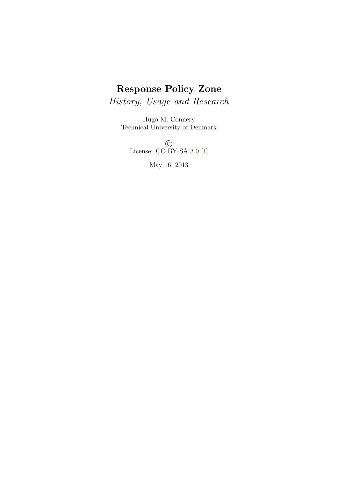# Response Policy Zone

History, Usage and Research

Hugo M. Connery Technical University of Denmark

> © License: CC-BY-SA 3.0 [\[1\]](#page-13-0)

> > May 16, 2013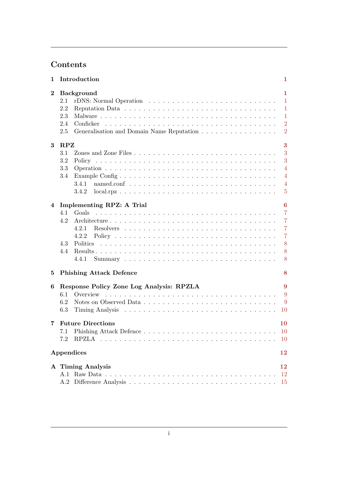# Contents

| 1           | Introduction                                                                                                   | 1                                                                                                |
|-------------|----------------------------------------------------------------------------------------------------------------|--------------------------------------------------------------------------------------------------|
| $\bf{2}$    | <b>Background</b><br>2.1<br>2.2<br>2.3<br>2.4<br>Conficker<br>Generalisation and Domain Name Reputation<br>2.5 | $\mathbf{1}$<br>$\mathbf{1}$<br>$\mathbf{1}$<br>$\mathbf{1}$<br>$\overline{2}$<br>$\overline{2}$ |
| $\bf{3}$    | $\mathbf{R}\mathbf{P}\mathbf{Z}$<br>3.1<br>3.2<br>3.3<br>Example Config<br>3.4<br>3.4.1<br>3.4.2               | 3<br>3<br>3<br>$\overline{4}$<br>$\overline{4}$<br>$\overline{4}$<br>$\overline{5}$              |
| 4           | Implementing RPZ: A Trial<br>4.1<br>Goals<br>4.2<br>4.2.1<br>4.2.2<br>4.3<br>4.4<br>4.4.1                      | $\bf{6}$<br>$\overline{7}$<br>$\overline{7}$<br>$\overline{7}$<br>$\overline{7}$<br>8<br>8<br>8  |
| $5^{\circ}$ | <b>Phishing Attack Defence</b>                                                                                 | 8                                                                                                |
| 6           | Response Policy Zone Log Analysis: RPZLA<br>6.1<br>6.2<br>6.3                                                  | 9<br>9<br>9<br>10                                                                                |
|             | 7 Future Directions<br>7.2                                                                                     | 10<br>10<br><sup>10</sup>                                                                        |
|             | Appendices                                                                                                     | 12                                                                                               |
|             | A Timing Analysis                                                                                              | 12<br>$12\,$<br><b>15</b>                                                                        |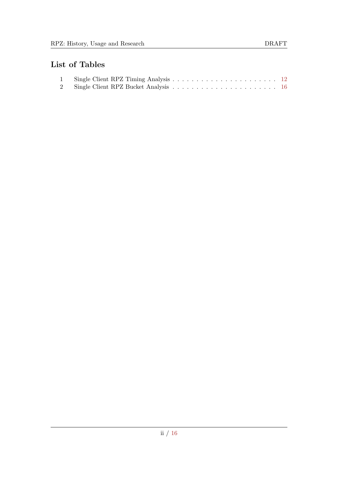# List of Tables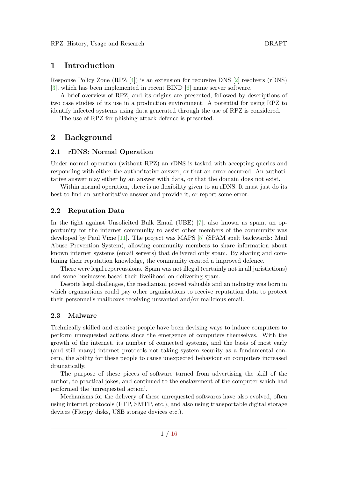# <span id="page-3-0"></span>1 Introduction

Response Policy Zone (RPZ [\[4\]](#page-13-1)) is an extension for recursive DNS [\[2\]](#page-13-2) resolvers (rDNS) [\[3\]](#page-13-3), which has been implemented in recent BIND [\[6\]](#page-13-4) name server software.

A brief overview of RPZ, and its origins are presented, followed by descriptions of two case studies of its use in a production environment. A potential for using RPZ to identify infected systems using data generated through the use of RPZ is considered.

The use of RPZ for phishing attack defence is presented.

# <span id="page-3-1"></span>2 Background

#### <span id="page-3-2"></span>2.1 rDNS: Normal Operation

Under normal operation (without RPZ) an rDNS is tasked with accepting queries and responding with either the authoritative answer, or that an error occurred. An authotitative answer may either by an answer with data, or that the domain does not exist.

Within normal operation, there is no flexibility given to an rDNS. It must just do its best to find an authoritative answer and provide it, or report some error.

## <span id="page-3-3"></span>2.2 Reputation Data

In the fight against Unsolicited Bulk Email (UBE) [\[7\]](#page-13-5), also known as spam, an opportunity for the internet community to assist other members of the community was developed by Paul Vixie [\[11\]](#page-13-6). The project was MAPS [\[5\]](#page-13-7) (SPAM spelt backwards: Mail Abuse Prevention System), allowing community members to share information about known internet systems (email servers) that delivered only spam. By sharing and combining their reputation knowledge, the community created a improved defence.

There were legal repercussions. Spam was not illegal (certainly not in all juristictions) and some businesses based their livelihood on delivering spam.

Despite legal challenges, the mechanism proved valuable and an industry was born in which organsations could pay other organisations to receive reputation data to protect their personnel's mailboxes receiving unwanted and/or malicious email.

# <span id="page-3-4"></span>2.3 Malware

Technically skilled and creative people have been devising ways to induce computers to perform unrequested actions since the emergence of computers themselves. With the growth of the internet, its number of connected systems, and the basis of most early (and still many) internet protocols not taking system security as a fundamental concern, the ability for these people to cause unexpected behaviour on computers increased dramatically.

The purpose of these pieces of software turned from advertising the skill of the author, to practical jokes, and continued to the enslavement of the computer which had performed the 'unrequested action'.

Mechanisms for the delivery of these unrequested softwares have also evolved, often using internet protocols (FTP, SMTP, etc.), and also using transportable digital storage devices (Floppy disks, USB storage devices etc.).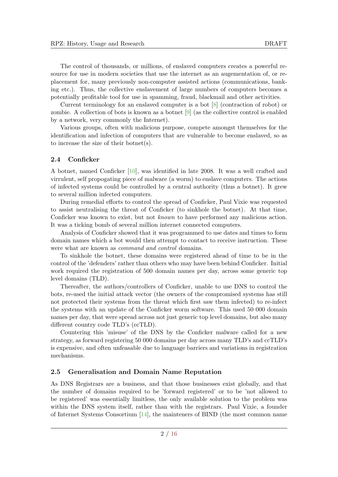The control of thousands, or millions, of enslaved computers creates a powerful resource for use in modern societies that use the internet as an augementation of, or replacement for, many previously non-computer assisted actions (communications, banking etc.). Thus, the collective enslavement of large numbers of computers becomes a potentially profitable tool for use in spamming, fraud, blackmail and other activities.

Current terminology for an enslaved computer is a bot [\[8\]](#page-13-8) (contraction of robot) or zombie. A collection of bots is known as a botnet [\[9\]](#page-13-9) (as the collective control is enabled by a network, very commonly the Internet).

Various groups, often with malicious purpose, compete amongst themselves for the identification and infection of computers that are vulnerable to become enslaved, so as to increase the size of their botnet(s).

#### <span id="page-4-0"></span>2.4 Conficker

A botnet, named Conficker [\[10\]](#page-13-10), was identified in late 2008. It was a well crafted and virrulent, self propogating piece of malware (a worm) to enslave computers. The actions of infected systems could be controlled by a central authority (thus a botnet). It grew to several million infected computers.

During remedial efforts to control the spread of Conficker, Paul Vixie was requested to assist neutralising the threat of Conficker (to sinkhole the botnet). At that time, Conficker was known to exist, but not known to have performed any malicious action. It was a ticking bomb of several million internet connected computers.

Analysis of Conficker showed that it was programmed to use dates and times to form domain names which a bot would then attempt to contact to receive instruction. These were what are known as command and control domains.

To sinkhole the botnet, these domains were registered ahead of time to be in the control of the 'defenders' rather than others who may have been behind Conficker. Initial work required the registration of 500 domain names per day, across some generic top level domains (TLD).

Thereafter, the authors/controllers of Conficker, unable to use DNS to control the bots, re-used the initial attack vector (the owners of the compromised systems has still not protected their systems from the threat which first saw them infected) to re-infect the systems with an update of the Conficker worm software. This used 50 000 domain names per day, that were spread across not just generic top level domains, but also many different country code TLD's (ccTLD).

Countering this 'misuse' of the DNS by the Conficker malware called for a new strategy, as forward registering 50 000 domains per day across many TLD's and ccTLD's is expensive, and often unfeasable due to language barriers and variations in registration mechanisms.

#### <span id="page-4-1"></span>2.5 Generalisation and Domain Name Reputation

As DNS Registrars are a business, and that those businesses exist globally, and that the number of domains required to be 'forward registered' or to be 'not allowed to be registered' was essentially limitless, the only available solution to the problem was within the DNS system itself, rather than with the registrars. Paul Vixie, a founder of Internet Systems Consortium [\[14\]](#page-14-4), the mainteners of BIND (the most common name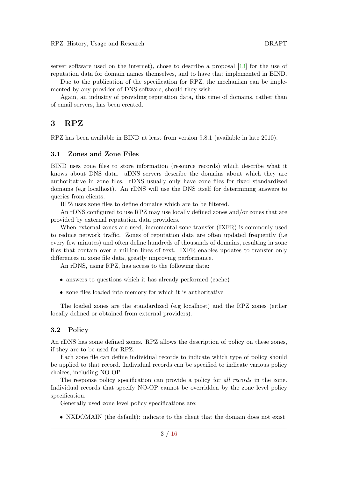server software used on the internet), chose to describe a proposal [\[13\]](#page-14-5) for the use of reputation data for domain names themselves, and to have that implemented in BIND.

Due to the publication of the specification for RPZ, the mechanism can be implemented by any provider of DNS software, should they wish.

Again, an industry of providing reputation data, this time of domains, rather than of email servers, has been created.

## <span id="page-5-0"></span>3 RPZ

RPZ has been available in BIND at least from version 9.8.1 (available in late 2010).

#### <span id="page-5-1"></span>3.1 Zones and Zone Files

BIND uses zone files to store information (resource records) which describe what it knows about DNS data. aDNS servers describe the domains about which they are authoritative in zone files. rDNS usually only have zone files for fixed standardized domains (e.g localhost). An rDNS will use the DNS itself for determining answers to queries from clients.

RPZ uses zone files to define domains which are to be filtered.

An rDNS configured to use RPZ may use locally defined zones and/or zones that are provided by external reputation data providers.

When external zones are used, incremental zone transfer (IXFR) is commonly used to reduce network traffic. Zones of reputation data are often updated frequently (i.e every few minutes) and often define hundreds of thousands of domains, resulting in zone files that contain over a million lines of text. IXFR enables updates to transfer only differences in zone file data, greatly improving performance.

An rDNS, using RPZ, has access to the following data:

- answers to questions which it has already performed (cache)
- zone files loaded into memory for which it is authoritative

The loaded zones are the standardized (e.g localhost) and the RPZ zones (either locally defined or obtained from external providers).

#### <span id="page-5-2"></span>3.2 Policy

An rDNS has some defined zones. RPZ allows the description of policy on these zones, if they are to be used for RPZ.

Each zone file can define individual records to indicate which type of policy should be applied to that record. Individual records can be specified to indicate various policy choices, including NO-OP.

The response policy specification can provide a policy for all records in the zone. Individual records that specify NO-OP cannot be overridden by the zone level policy specification.

Generally used zone level policy specifications are:

NXDOMAIN (the default): indicate to the client that the domain does not exist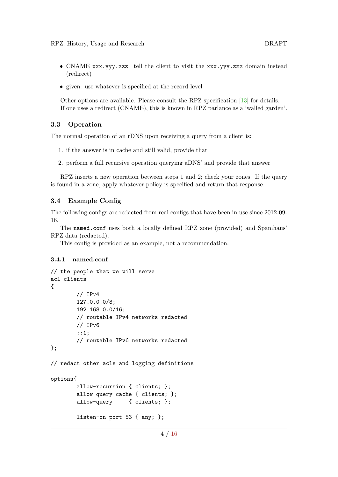- CNAME xxx.yyy.zzz: tell the client to visit the xxx.yyy.zzz domain instead (redirect)
- given: use whatever is specified at the record level

Other options are available. Please consult the RPZ specification [\[13\]](#page-14-5) for details. If one uses a redirect (CNAME), this is known in RPZ parlance as a 'walled garden'.

#### <span id="page-6-0"></span>3.3 Operation

The normal operation of an rDNS upon receiving a query from a client is:

- 1. if the answer is in cache and still valid, provide that
- 2. perform a full recursive operation querying aDNS' and provide that answer

RPZ inserts a new operation between steps 1 and 2; check your zones. If the query is found in a zone, apply whatever policy is specified and return that response.

#### <span id="page-6-1"></span>3.4 Example Config

The following configs are redacted from real configs that have been in use since 2012-09- 16.

The named.conf uses both a locally defined RPZ zone (provided) and Spamhaus' RPZ data (redacted).

This config is provided as an example, not a recommendation.

#### <span id="page-6-2"></span>3.4.1 named.conf

```
// the people that we will serve
acl clients
{
        // IPv4
        127.0.0.0/8;
        192.168.0.0/16;
        // routable IPv4 networks redacted
        // IPv6
        ::1;
        // routable IPv6 networks redacted
};
// redact other acls and logging definitions
options{
        allow-recursion { clients; };
        allow-query-cache { clients; };
        allow-query { clients; };
        listen-on port 53 { any; };
```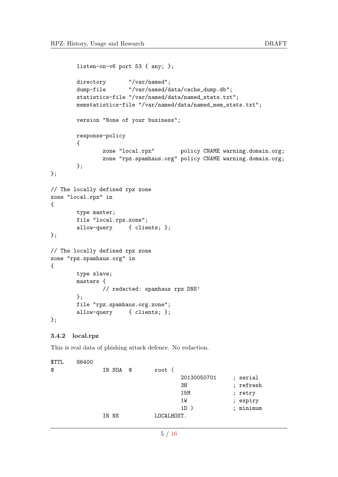```
listen-on-v6 port 53 { any; };
       directory "/var/named";
       dump-file "/var/named/data/cache_dump.db";
       statistics-file "/var/named/data/named_stats.txt";
       memstatistics-file "/var/named/data/named_mem_stats.txt";
       version "None of your business";
       response-policy
       {
               zone "local.rpz" policy CNAME warning.domain.org;
               zone "rpz.spamhaus.org" policy CNAME warning.domain.org;
       };
};
// The locally defined rpz zone
zone "local.rpz" in
{
       type master;
       file "local.rpz.zone";
       allow-query { clients; };
};
// The locally defined rpz zone
zone "rpz.spamhaus.org" in
{
       type slave;
       masters {
               // redacted: spamhaus rpz DNS'
       };
       file "rpz.spamhaus.org.zone";
       allow-query { clients; };
};
3.4.2 local.rpz
This is real data of phishing attack defence. No redaction.
```
<span id="page-7-0"></span>\$TTL 86400 @ IN SOA @ root ( 20130050701 ; serial 3H ; refresh 15M ; retry 1W ; expiry 1D ) ; minimum IN NS LOCALHOST.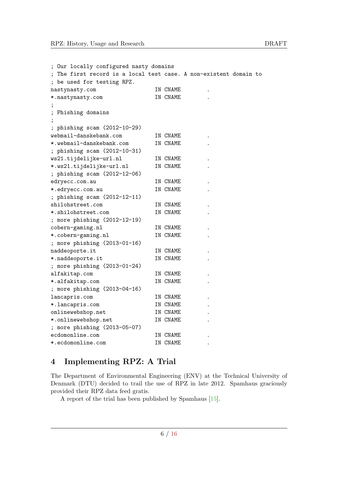| ; Our locally configured nasty domains                            |          |  |
|-------------------------------------------------------------------|----------|--|
| ; The first record is a local test case. A non-existent domain to |          |  |
| ; be used for testing RPZ.                                        |          |  |
| nastynasty.com                                                    | IN CNAME |  |
| *.nastynasty.com                                                  | IN CNAME |  |
|                                                                   |          |  |
| Phishing domains                                                  |          |  |
|                                                                   |          |  |
| phishing scam (2012-10-29)                                        |          |  |
| webmail-danskebank.com                                            | IN CNAME |  |
| *.webmail-danskebank.com                                          | IN CNAME |  |
| ; phishing scam (2012-10-31)                                      |          |  |
| ws21.tijdelijke-url.nl                                            | IN CNAME |  |
| *.ws21.tijdelijke-url.nl                                          | IN CNAME |  |
| ; phishing scam (2012-12-06)                                      |          |  |
| edryecc.com.au                                                    | IN CNAME |  |
| *.edryecc.com.au                                                  | IN CNAME |  |
| ; phishing scam (2012-12-11)                                      |          |  |
| shilohstreet.com                                                  | IN CNAME |  |
| *.shilohstreet.com                                                | IN CNAME |  |
| ; more phishing (2012-12-19)                                      |          |  |
| cobern-gaming.nl                                                  | IN CNAME |  |
| *.cobern-gaming.nl                                                | IN CNAME |  |
| ; more phishing (2013-01-16)                                      |          |  |
| naddeoporte.it                                                    | IN CNAME |  |
| *.naddeoporte.it                                                  | IN CNAME |  |
| ; more phishing (2013-01-24)                                      |          |  |
| alfakitap.com                                                     | IN CNAME |  |
| *.alfakitap.com                                                   | IN CNAME |  |
| ; more phishing (2013-04-16)                                      |          |  |
| lancapris.com                                                     | IN CNAME |  |
| *. lancapris.com                                                  | IN CNAME |  |
| onlinewebshop.net                                                 | IN CNAME |  |
| *.onlinewebshop.net                                               | IN CNAME |  |
| ; more phishing (2013-05-07)                                      |          |  |
| ecdomonline.com                                                   | IN CNAME |  |
| *.ecdomonline.com                                                 | IN CNAME |  |

# <span id="page-8-0"></span>4 Implementing RPZ: A Trial

The Department of Environmental Engineering (ENV) at the Technical University of Denmark (DTU) decided to trail the use of RPZ in late 2012. Spamhaus graciously provided their RPZ data feed gratis.

A report of the trial has been published by Spamhaus [\[15\]](#page-14-6).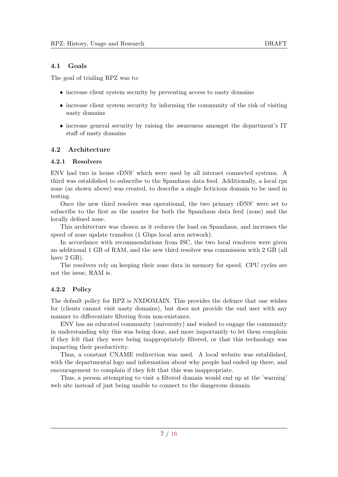#### <span id="page-9-0"></span>4.1 Goals

The goal of trialing RPZ was to:

- increase client system security by preventing access to nasty domains
- increase client system security by informing the community of the risk of visiting nasty domains
- increase general security by raising the awareness amongst the department's IT staff of nasty domains

#### <span id="page-9-1"></span>4.2 Architecture

#### <span id="page-9-2"></span>4.2.1 Resolvers

ENV had two in house rDNS' which were used by all internet connected systems. A third was established to subscribe to the Spamhaus data feed. Additionally, a local rpz zone (as shown above) was created, to describe a single ficticious domain to be used in testing.

Once the new third resolver was operational, the two primary rDNS' were set to subscribe to the first as the master for both the Spamhaus data feed (zone) and the locally defined zone.

This architecture was chosen as it reduces the load on Spamhaus, and increases the speed of zone update transfers (1 Gbps local area network).

In accordance with recommendations from ISC, the two local resolvers were given an additional 1 GB of RAM, and the new third resolver was commission with 2 GB (all have 2 GB).

The resolvers rely on keeping their zone data in memory for speed. CPU cycles are not the issue, RAM is.

## <span id="page-9-3"></span>4.2.2 Policy

The default policy for RPZ is NXDOMAIN. This provides the defence that one wishes for (clients cannot visit nasty domains), but does not provide the end user with any manner to differentiate filtering from non-existance.

ENV has an educated community (university) and wished to engage the community in understanding why this was being done, and more importantly to let them complain if they felt that they were being inappropriately filtered, or that this technology was impacting their productivity.

Thus, a constant CNAME redirection was used. A local website was established, with the departmental logo and information about why people had ended up there, and encouragement to complain if they felt that this was inappropriate.

Thus, a person attempting to visit a filtered domain would end up at the 'warning' web site instead of just being unable to connect to the dangerous domain.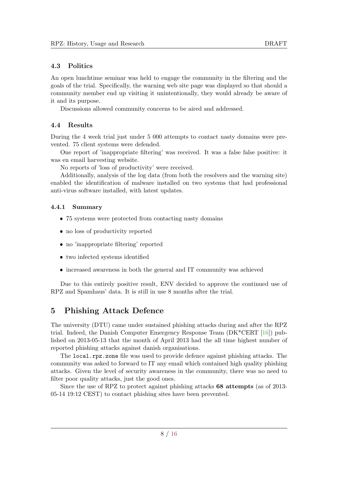## <span id="page-10-0"></span>4.3 Politics

An open lunchtime seminar was held to engage the community in the filtering and the goals of the trial. Specifically, the warning web site page was displayed so that should a community member end up visiting it unintentionally, they would already be aware of it and its purpose.

Discussions allowed community concerns to be aired and addressed.

## <span id="page-10-1"></span>4.4 Results

During the 4 week trial just under 5 000 attempts to contact nasty domains were prevented. 75 client systems were defended.

One report of 'inappropriate filtering' was received. It was a false false positive: it was en email harvesting website.

No reports of 'loss of productivity' were received.

Additionally, analysis of the log data (from both the resolvers and the warning site) enabled the identification of malware installed on two systems that had professional anti-virus software installed, with latest updates.

## <span id="page-10-2"></span>4.4.1 Summary

- 75 systems were protected from contacting nasty domains
- no loss of productivity reported
- no 'inappropriate filtering' reported
- two infected systems identified
- increased awareness in both the general and IT community was achieved

Due to this entirely positive result, ENV decided to approve the continued use of RPZ and Spamhaus' data. It is still in use 8 months after the trial.

# <span id="page-10-3"></span>5 Phishing Attack Defence

The university (DTU) came under sustained phishing attacks during and after the RPZ trial. Indeed, the Danish Computer Emergency Response Team  $(DK^*CERT [16])$  $(DK^*CERT [16])$  $(DK^*CERT [16])$  published on 2013-05-13 that the month of April 2013 had the all time highest number of reported phishing attacks against danish organisations.

The local.rpz.zone file was used to provide defence against phishing attacks. The community was asked to forward to IT any email which contained high quality phishing attacks. Given the level of security awareness in the community, there was no need to filter poor quality attacks, just the good ones.

Since the use of RPZ to protect against phishing attacks 68 attempts (as of 2013- 05-14 19:12 CEST) to contact phishing sites have been prevented.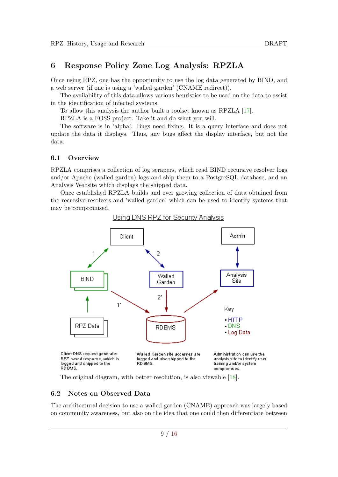# <span id="page-11-0"></span>6 Response Policy Zone Log Analysis: RPZLA

Once using RPZ, one has the opportunity to use the log data generated by BIND, and a web server (if one is using a 'walled garden' (CNAME redirect)).

The availability of this data allows various heuristics to be used on the data to assist in the identification of infected systems.

To allow this analysis the author built a toolset known as RPZLA [\[17\]](#page-14-8).

RPZLA is a FOSS project. Take it and do what you will.

The software is in 'alpha'. Bugs need fixing. It is a query interface and does not update the data it displays. Thus, any bugs affect the display interface, but not the data.

#### <span id="page-11-1"></span>6.1 Overview

RPZLA comprises a collection of log scrapers, which read BIND recursive resolver logs and/or Apache (walled garden) logs and ship them to a PostgreSQL database, and an Analysis Website which displays the shipped data.

Once established RPZLA builds and ever growing collection of data obtained from the recursive resolvers and 'walled garden' which can be used to identify systems that may be compromised.



Using DNS RPZ for Security Analysis

The original diagram, with better resolution, is also viewable [\[18\]](#page-14-9).

#### <span id="page-11-2"></span>6.2 Notes on Observed Data

The architectural decision to use a walled garden (CNAME) approach was largely based on community awareness, but also on the idea that one could then differentiate between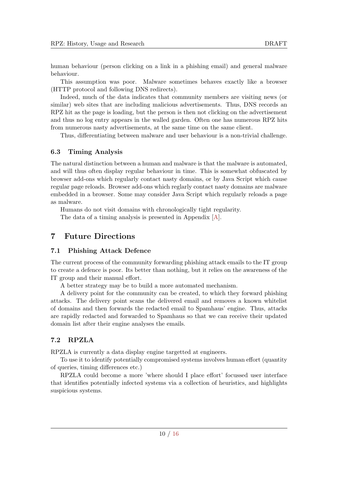human behaviour (person clicking on a link in a phishing email) and general malware behaviour.

This assumption was poor. Malware sometimes behaves exactly like a browser (HTTP protocol and following DNS redirects).

Indeed, much of the data indicates that community members are visiting news (or similar) web sites that are including malicious advertisements. Thus, DNS records an RPZ hit as the page is loading, but the person is then not clicking on the advertisement and thus no log entry appears in the walled garden. Often one has numerous RPZ hits from numerous nasty advertisements, at the same time on the same client.

Thus, differentiating between malware and user behaviour is a non-trivial challenge.

#### <span id="page-12-0"></span>6.3 Timing Analysis

The natural distinction between a human and malware is that the malware is automated, and will thus often display regular behaviour in time. This is somewhat obfuscated by browser add-ons which regularly contact nasty domains, or by Java Script which cause regular page reloads. Browser add-ons which reglarly contact nasty domains are malware embedded in a browser. Some may consider Java Script which regularly reloads a page as malware.

Humans do not visit domains with chronologically tight regularity. The data of a timing analysis is presented in Appendix [\[A\]](#page-14-1).

# <span id="page-12-1"></span>7 Future Directions

# <span id="page-12-2"></span>7.1 Phishing Attack Defence

The current process of the community forwarding phishing attack emails to the IT group to create a defence is poor. Its better than nothing, but it relies on the awareness of the IT group and their manual effort.

A better strategy may be to build a more automated mechanism.

A delivery point for the community can be created, to which they forward phishing attacks. The delivery point scans the delivered email and removes a known whitelist of domains and then forwards the redacted email to Spamhaus' engine. Thus, attacks are rapidly redacted and forwarded to Spamhaus so that we can receive their updated domain list after their engine analyses the emails.

## <span id="page-12-3"></span>7.2 RPZLA

RPZLA is currently a data display engine targetted at engineers.

To use it to identify potentially compromised systems involves human effort (quantity of queries, timing differences etc.)

RPZLA could become a more 'where should I place effort' focussed user interface that identifies potentially infected systems via a collection of heuristics, and highlights suspicious systems.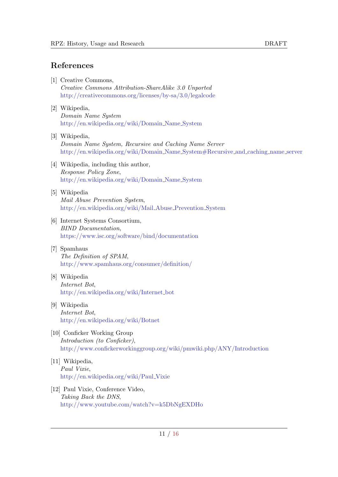# References

- <span id="page-13-0"></span>[1] Creative Commons, Creative Commons Attribution-ShareAlike 3.0 Unported <http://creativecommons.org/licenses/by-sa/3.0/legalcode>
- <span id="page-13-2"></span>[2] Wikipedia, Domain Name System [http://en.wikipedia.org/wiki/Domain](http://en.wikipedia.org/wiki/Domain_Name_System) Name System
- <span id="page-13-3"></span>[3] Wikipedia, Domain Name System, Recursive and Caching Name Server [http://en.wikipedia.org/wiki/Domain](http://en.wikipedia.org/wiki/Domain_Name_System#Recursive_and_caching_name_server) Name System#Recursive and caching name server
- <span id="page-13-1"></span>[4] Wikipedia, including this author, Response Policy Zone, [http://en.wikipedia.org/wiki/Domain](http://en.wikipedia.org/wiki/Domain_Name_System) Name System
- <span id="page-13-7"></span>[5] Wikipedia Mail Abuse Prevention System, [http://en.wikipedia.org/wiki/Mail](http://en.wikipedia.org/wiki/Mail_Abuse_Prevention_System) Abuse Prevention System
- <span id="page-13-4"></span>[6] Internet Systems Consortium, BIND Documentation, <https://www.isc.org/software/bind/documentation>
- <span id="page-13-5"></span>[7] Spamhaus The Definition of SPAM, <http://www.spamhaus.org/consumer/definition/>
- <span id="page-13-8"></span>[8] Wikipedia Internet Bot, [http://en.wikipedia.org/wiki/Internet](http://en.wikipedia.org/wiki/Internet_bot)\_bot
- <span id="page-13-9"></span>[9] Wikipedia Internet Bot, <http://en.wikipedia.org/wiki/Botnet>
- <span id="page-13-10"></span>[10] Conficker Working Group Introduction (to Conficker), <http://www.confickerworkinggroup.org/wiki/pmwiki.php/ANY/Introduction>
- <span id="page-13-6"></span>[11] Wikipedia, Paul Vixie, [http://en.wikipedia.org/wiki/Paul](http://en.wikipedia.org/wiki/Paul_Vixie) Vixie
- [12] Paul Vixie, Conference Video, Taking Back the DNS, <http://www.youtube.com/watch?v=k5DbNgEXDHo>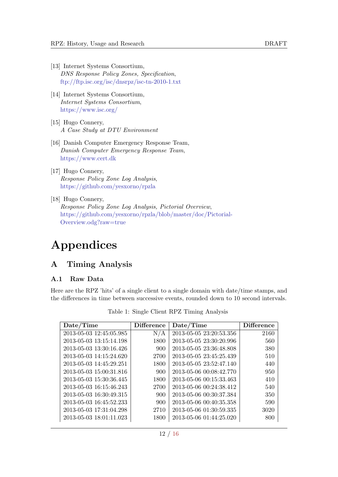- <span id="page-14-5"></span>[13] Internet Systems Consortium, DNS Response Policy Zones, Specification, <ftp://ftp.isc.org/isc/dnsrpz/isc-tn-2010-1.txt>
- <span id="page-14-4"></span>[14] Internet Systems Consortium, Internet Systems Consortium, <https://www.isc.org/>
- <span id="page-14-6"></span>[15] Hugo Connery, A Case Study at DTU Environment
- <span id="page-14-7"></span>[16] Danish Computer Emergency Response Team, Danish Computer Emergency Response Team, <https://www.cert.dk>
- <span id="page-14-8"></span>[17] Hugo Connery, Response Policy Zone Log Analysis, <https://github.com/yesxorno/rpzla>
- <span id="page-14-9"></span>[18] Hugo Connery, Response Policy Zone Log Analysis, Pictorial Overview, [https://github.com/yesxorno/rpzla/blob/master/doc/Pictorial-](https://github.com/yesxorno/rpzla/blob/master/doc/Pictorial-Overview.odg?raw=true)

[Overview.odg?raw=true](https://github.com/yesxorno/rpzla/blob/master/doc/Pictorial-Overview.odg?raw=true)

# Appendices

# <span id="page-14-1"></span><span id="page-14-0"></span>A Timing Analysis

#### <span id="page-14-2"></span>A.1 Raw Data

<span id="page-14-3"></span>Here are the RPZ 'hits' of a single client to a single domain with date/time stamps, and the differences in time between successive events, rounded down to 10 second intervals.

| Date/Time               | <b>Difference</b> | Date/Time               | <b>Difference</b> |
|-------------------------|-------------------|-------------------------|-------------------|
| 2013-05-03 12:45:05.985 | N/A               | 2013-05-05 23:20:53.356 | 2160              |
| 2013-05-03 13:15:14.198 | 1800              | 2013-05-05 23:30:20.996 | 560               |
| 2013-05-03 13:30:16.426 | 900               | 2013-05-05 23:36:48.808 | 380               |
| 2013-05-03 14:15:24.620 | 2700              | 2013-05-05 23:45:25.439 | 510               |
| 2013-05-03 14:45:29.251 | 1800              | 2013-05-05 23:52:47.140 | 440               |
| 2013-05-03 15:00:31.816 | 900               | 2013-05-06 00:08:42.770 | 950               |
| 2013-05-03 15:30:36.445 | 1800              | 2013-05-06 00:15:33.463 | 410               |
| 2013-05-03 16:15:46.243 | 2700              | 2013-05-06 00:24:38.412 | 540               |
| 2013-05-03 16:30:49.315 | 900               | 2013-05-06 00:30:37.384 | 350               |
| 2013-05-03 16:45:52.233 | 900               | 2013-05-06 00:40:35.358 | 590               |
| 2013-05-03 17:31:04.298 | 2710              | 2013-05-06 01:30:59.335 | 3020              |
| 2013-05-03 18:01:11.023 | 1800              | 2013-05-06 01:44:25.020 | 800               |

Table 1: Single Client RPZ Timing Analysis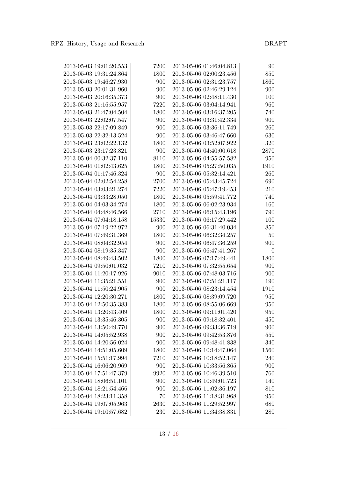| 2013-05-03 19:01:20.553 | 7200     | 2013-05-06 01:46:04.813 | 90               |
|-------------------------|----------|-------------------------|------------------|
| 2013-05-03 19:31:24.864 | 1800     | 2013-05-06 02:00:23.456 | 850              |
| 2013-05-03 19:46:27.930 | 900      | 2013-05-06 02:31:23.757 | 1860             |
| 2013-05-03 20:01:31.960 | 900      | 2013-05-06 02:46:29.124 | 900              |
| 2013-05-03 20:16:35.373 | 900      | 2013-05-06 02:48:11.430 | 100              |
| 2013-05-03 21:16:55.957 | 7220     | 2013-05-06 03:04:14.941 | 960              |
| 2013-05-03 21:47:04.504 | 1800     | 2013-05-06 03:16:37.205 | 740              |
| 2013-05-03 22:02:07.547 | 900      | 2013-05-06 03:31:42.334 | 900              |
| 2013-05-03 22:17:09.849 | 900      | 2013-05-06 03:36:11.749 | 260              |
| 2013-05-03 22:32:13.524 | 900      | 2013-05-06 03:46:47.660 | 630              |
| 2013-05-03 23:02:22.132 | 1800     | 2013-05-06 03:52:07.922 | 320              |
| 2013-05-03 23:17:23.821 | 900      | 2013-05-06 04:40:00.618 | 2870             |
| 2013-05-04 00:32:37.110 | $8110\,$ | 2013-05-06 04:55:57.582 | 950              |
| 2013-05-04 01:02:43.625 | 1800     | 2013-05-06 05:27:50.035 | 1910             |
| 2013-05-04 01:17:46.324 | 900      | 2013-05-06 05:32:14.421 | 260              |
| 2013-05-04 02:02:54.258 | 2700     | 2013-05-06 05:43:45.724 | 690              |
| 2013-05-04 03:03:21.274 | 7220     | 2013-05-06 05:47:19.453 | 210              |
| 2013-05-04 03:33:28.050 | 1800     | 2013-05-06 05:59:41.772 | 740              |
| 2013-05-04 04:03:34.274 | 1800     | 2013-05-06 06:02:23.934 | 160              |
| 2013-05-04 04:48:46.566 | 2710     | 2013-05-06 06:15:43.196 | 790              |
| 2013-05-04 07:04:18.158 | 15330    | 2013-05-06 06:17:29.442 | 100              |
| 2013-05-04 07:19:22.972 | 900      | 2013-05-06 06:31:40.034 | 850              |
| 2013-05-04 07:49:31.369 | 1800     | 2013-05-06 06:32:34.257 | $50\,$           |
| 2013-05-04 08:04:32.954 | 900      | 2013-05-06 06:47:36.259 | 900              |
| 2013-05-04 08:19:35.347 | 900      | 2013-05-06 06:47:41.267 | $\boldsymbol{0}$ |
| 2013-05-04 08:49:43.502 | 1800     | 2013-05-06 07:17:49.441 | 1800             |
| 2013-05-04 09:50:01.032 | 7210     | 2013-05-06 07:32:55.654 | 900              |
| 2013-05-04 11:20:17.926 | 9010     | 2013-05-06 07:48:03.716 | 900              |
| 2013-05-04 11:35:21.551 | 900      | 2013-05-06 07:51:21.117 | 190              |
| 2013-05-04 11:50:24.905 | 900      | 2013-05-06 08:23:14.454 | 1910             |
| 2013-05-04 12:20:30.271 | 1800     | 2013-05-06 08:39:09.720 | 950              |
| 2013-05-04 12:50:35.383 | 1800     | 2013-05-06 08:55:06.669 | 950              |
| 2013-05-04 13:20:43.409 | 1800     | 2013-05-06 09:11:01.420 | 950              |
| 2013-05-04 13:35:46.305 | 900      | 2013-05-06 09:18:32.401 | 450              |
| 2013-05-04 13:50:49.770 | 900      | 2013-05-06 09:33:36.719 | 900              |
| 2013-05-04 14:05:52.938 | 900      | 2013-05-06 09:42:53.876 | 550              |
| 2013-05-04 14:20:56.024 | 900      | 2013-05-06 09:48:41.838 | 340              |
| 2013-05-04 14:51:05.609 | 1800     | 2013-05-06 10:14:47.064 | 1560             |
| 2013-05-04 15:51:17.994 | 7210     | 2013-05-06 10:18:52.147 | 240              |
| 2013-05-04 16:06:20.969 | 900      | 2013-05-06 10:33:56.865 | 900              |
| 2013-05-04 17:51:47.379 | 9920     | 2013-05-06 10:46:39.510 | 760              |
| 2013-05-04 18:06:51.101 | 900      | 2013-05-06 10:49:01.723 | 140              |
| 2013-05-04 18:21:54.466 | 900      | 2013-05-06 11:02:36.197 | 810              |
| 2013-05-04 18:23:11.358 | 70       | 2013-05-06 11:18:31.968 | 950              |
| 2013-05-04 19:07:05.963 | 2630     | 2013-05-06 11:29:52.997 | 680              |
| 2013-05-04 19:10:57.682 | 230      | 2013-05-06 11:34:38.831 | 280              |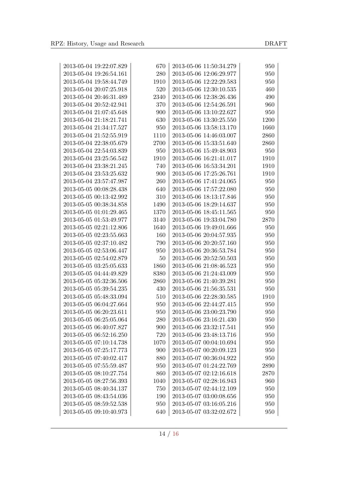| 2013-05-04 19:22:07.829 | 670  | 2013-05-06 11:50:34.279 | 950  |
|-------------------------|------|-------------------------|------|
| 2013-05-04 19:26:54.161 | 280  | 2013-05-06 12:06:29.977 | 950  |
| 2013-05-04 19:58:44.749 | 1910 | 2013-05-06 12:22:29.583 | 950  |
| 2013-05-04 20:07:25.918 | 520  | 2013-05-06 12:30:10.535 | 460  |
| 2013-05-04 20:46:31.489 | 2340 | 2013-05-06 12:38:26.436 | 490  |
| 2013-05-04 20:52:42.941 | 370  | 2013-05-06 12:54:26.591 | 960  |
| 2013-05-04 21:07:45.648 | 900  | 2013-05-06 13:10:22.627 | 950  |
| 2013-05-04 21:18:21.741 | 630  | 2013-05-06 13:30:25.550 | 1200 |
| 2013-05-04 21:34:17.527 | 950  | 2013-05-06 13:58:13.170 | 1660 |
| 2013-05-04 21:52:55.919 | 1110 | 2013-05-06 14:46:03.007 | 2860 |
| 2013-05-04 22:38:05.679 | 2700 | 2013-05-06 15:33:51.640 | 2860 |
| 2013-05-04 22:54:03.839 | 950  | 2013-05-06 15:49:48.903 | 950  |
| 2013-05-04 23:25:56.542 | 1910 | 2013-05-06 16:21:41.017 | 1910 |
| 2013-05-04 23:38:21.245 | 740  | 2013-05-06 16:53:34.201 | 1910 |
| 2013-05-04 23:53:25.632 | 900  | 2013-05-06 17:25:26.761 | 1910 |
| 2013-05-04 23:57:47.987 | 260  | 2013-05-06 17:41:24.065 | 950  |
| 2013-05-05 00:08:28.438 | 640  | 2013-05-06 17:57:22.080 | 950  |
| 2013-05-05 00:13:42.992 | 310  | 2013-05-06 18:13:17.846 | 950  |
| 2013-05-05 00:38:34.858 | 1490 | 2013-05-06 18:29:14.637 | 950  |
| 2013-05-05 01:01:29.465 | 1370 | 2013-05-06 18:45:11.565 | 950  |
| 2013-05-05 01:53:49.977 | 3140 | 2013-05-06 19:33:04.780 | 2870 |
| 2013-05-05 02:21:12.806 | 1640 | 2013-05-06 19:49:01.666 | 950  |
| 2013-05-05 02:23:55.663 | 160  | 2013-05-06 20:04:57.935 | 950  |
| 2013-05-05 02:37:10.482 | 790  | 2013-05-06 20:20:57.160 | 950  |
| 2013-05-05 02:53:06.447 | 950  | 2013-05-06 20:36:53.784 | 950  |
| 2013-05-05 02:54:02.879 | 50   | 2013-05-06 20:52:50.503 | 950  |
| 2013-05-05 03:25:05.633 | 1860 | 2013-05-06 21:08:46.523 | 950  |
| 2013-05-05 04:44:49.829 | 8380 | 2013-05-06 21:24:43.009 | 950  |
| 2013-05-05 05:32:36.506 | 2860 | 2013-05-06 21:40:39.281 | 950  |
| 2013-05-05 05:39:54.235 | 430  | 2013-05-06 21:56:35.531 | 950  |
| 2013-05-05 05:48:33.094 | 510  | 2013-05-06 22:28:30.585 | 1910 |
| 2013-05-05 06:04:27.664 | 950  | 2013-05-06 22:44:27.415 | 950  |
| 2013-05-05 06:20:23.611 | 950  | 2013-05-06 23:00:23.790 | 950  |
| 2013-05-05 06:25:05.064 | 280  | 2013-05-06 23:16:21.430 | 950  |
| 2013-05-05 06:40:07.827 | 900  | 2013-05-06 23:32:17.541 | 950  |
| 2013-05-05 06:52:16.250 | 720  | 2013-05-06 23:48:13.716 | 950  |
| 2013-05-05 07:10:14.738 | 1070 | 2013-05-07 00:04:10.694 | 950  |
| 2013-05-05 07:25:17.773 | 900  | 2013-05-07 00:20:09.123 | 950  |
| 2013-05-05 07:40:02.417 | 880  | 2013-05-07 00:36:04.922 | 950  |
| 2013-05-05 07:55:59.487 | 950  | 2013-05-07 01:24:22.769 | 2890 |
| 2013-05-05 08:10:27.754 | 860  | 2013-05-07 02:12:16.618 | 2870 |
| 2013-05-05 08:27:56.393 | 1040 | 2013-05-07 02:28:16.943 | 960  |
| 2013-05-05 08:40:34.137 | 750  | 2013-05-07 02:44:12.109 | 950  |
| 2013-05-05 08:43:54.036 | 190  | 2013-05-07 03:00:08.656 | 950  |
| 2013-05-05 08:59:52.538 | 950  | 2013-05-07 03:16:05.216 | 950  |
| 2013-05-05 09:10:40.973 | 640  | 2013-05-07 03:32:02.672 | 950  |
|                         |      |                         |      |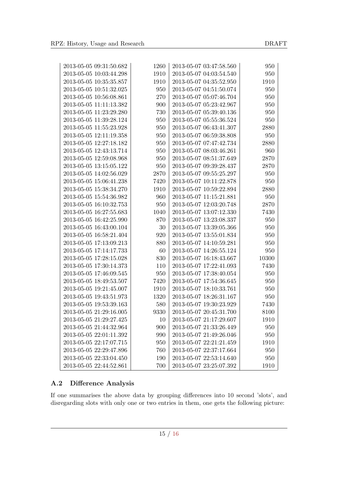| 2013-05-05 09:31:50.682 | 1260 | 2013-05-07 03:47:58.560 | 950       |
|-------------------------|------|-------------------------|-----------|
| 2013-05-05 10:03:44.298 | 1910 | 2013-05-07 04:03:54.540 | 950       |
| 2013-05-05 10:35:35.857 | 1910 | 2013-05-07 04:35:52.950 | 1910      |
| 2013-05-05 10:51:32.025 | 950  | 2013-05-07 04:51:50.074 | 950       |
| 2013-05-05 10:56:08.861 | 270  | 2013-05-07 05:07:46.704 | 950       |
| 2013-05-05 11:11:13.382 | 900  | 2013-05-07 05:23:42.967 | 950       |
| 2013-05-05 11:23:29.280 | 730  | 2013-05-07 05:39:40.136 | 950       |
| 2013-05-05 11:39:28.124 | 950  | 2013-05-07 05:55:36.524 | 950       |
| 2013-05-05 11:55:23.928 | 950  | 2013-05-07 06:43:41.307 | 2880      |
| 2013-05-05 12:11:19.358 | 950  | 2013-05-07 06:59:38.808 | 950       |
| 2013-05-05 12:27:18.182 | 950  | 2013-05-07 07:47:42.734 | 2880      |
| 2013-05-05 12:43:13.714 | 950  | 2013-05-07 08:03:46.261 | 960       |
| 2013-05-05 12:59:08.968 | 950  | 2013-05-07 08:51:37.649 | 2870      |
| 2013-05-05 13:15:05.122 | 950  | 2013-05-07 09:39:28.437 | 2870      |
| 2013-05-05 14:02:56.029 | 2870 | 2013-05-07 09:55:25.297 | 950       |
| 2013-05-05 15:06:41.238 | 7420 | 2013-05-07 10:11:22.878 | 950       |
| 2013-05-05 15:38:34.270 | 1910 | 2013-05-07 10:59:22.894 | 2880      |
| 2013-05-05 15:54:36.982 | 960  | 2013-05-07 11:15:21.881 | 950       |
| 2013-05-05 16:10:32.753 | 950  | 2013-05-07 12:03:20.748 | 2870      |
| 2013-05-05 16:27:55.683 | 1040 | 2013-05-07 13:07:12.330 | 7430      |
| 2013-05-05 16:42:25.990 | 870  | 2013-05-07 13:23:08.337 | 950       |
| 2013-05-05 16:43:00.104 | 30   | 2013-05-07 13:39:05.366 | 950       |
| 2013-05-05 16:58:21.404 | 920  | 2013-05-07 13:55:01.834 | 950       |
| 2013-05-05 17:13:09.213 | 880  | 2013-05-07 14:10:59.281 | 950       |
| 2013-05-05 17:14:17.733 | 60   | 2013-05-07 14:26:55.124 | 950       |
| 2013-05-05 17:28:15.028 | 830  | 2013-05-07 16:18:43.667 | $10300\,$ |
| 2013-05-05 17:30:14.373 | 110  | 2013-05-07 17:22:41.093 | 7430      |
| 2013-05-05 17:46:09.545 | 950  | 2013-05-07 17:38:40.054 | 950       |
| 2013-05-05 18:49:53.507 | 7420 | 2013-05-07 17:54:36.645 | 950       |
| 2013-05-05 19:21:45.007 | 1910 | 2013-05-07 18:10:33.761 | 950       |
| 2013-05-05 19:43:51.973 | 1320 | 2013-05-07 18:26:31.167 | 950       |
| 2013-05-05 19:53:39.163 | 580  | 2013-05-07 19:30:23.929 | 7430      |
| 2013-05-05 21:29:16.005 | 9330 | 2013-05-07 20:45:31.700 | 8100      |
| 2013-05-05 21:29:27.425 | 10   | 2013-05-07 21:17:29.607 | 1910      |
| 2013-05-05 21:44:32.964 | 900  | 2013-05-07 21:33:26.449 | 950       |
| 2013-05-05 22:01:11.392 | 990  | 2013-05-07 21:49:26.046 | 950       |
| 2013-05-05 22:17:07.715 | 950  | 2013-05-07 22:21:21.459 | 1910      |
| 2013-05-05 22:29:47.896 | 760  | 2013-05-07 22:37:17.664 | 950       |
| 2013-05-05 22:33:04.450 | 190  | 2013-05-07 22:53:14.640 | 950       |
| 2013-05-05 22:44:52.861 | 700  | 2013-05-07 23:25:07.392 | 1910      |

# <span id="page-17-0"></span>A.2 Difference Analysis

<span id="page-17-1"></span>If one summarises the above data by grouping differences into 10 second 'slots', and disregarding slots with only one or two entries in them, one gets the following picture: